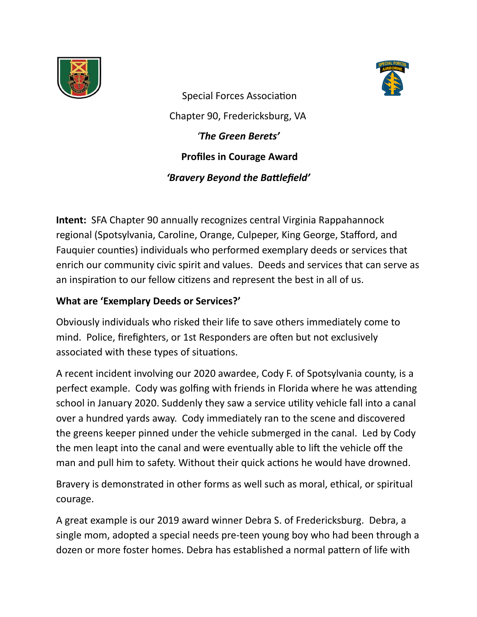



Special Forces Association Chapter 90, Fredericksburg, VA *'The Green Berets'*  **Profiles in Courage Award**  *'Bravery Beyond the Battlefield'* 

**Intent:** SFA Chapter 90 annually recognizes central Virginia Rappahannock regional (Spotsylvania, Caroline, Orange, Culpeper, King George, Stafford, and Fauquier counties) individuals who performed exemplary deeds or services that enrich our community civic spirit and values. Deeds and services that can serve as an inspiration to our fellow citizens and represent the best in all of us.

## **What are 'Exemplary Deeds or Services?'**

Obviously individuals who risked their life to save others immediately come to mind. Police, firefighters, or 1st Responders are often but not exclusively associated with these types of situations.

A recent incident involving our 2020 awardee, Cody F. of Spotsylvania county, is a perfect example. Cody was golfing with friends in Florida where he was attending school in January 2020. Suddenly they saw a service utility vehicle fall into a canal over a hundred yards away. Cody immediately ran to the scene and discovered the greens keeper pinned under the vehicle submerged in the canal. Led by Cody the men leapt into the canal and were eventually able to lift the vehicle off the man and pull him to safety. Without their quick actions he would have drowned.

Bravery is demonstrated in other forms as well such as moral, ethical, or spiritual courage.

A great example is our 2019 award winner Debra S. of Fredericksburg. Debra, a single mom, adopted a special needs pre-teen young boy who had been through a dozen or more foster homes. Debra has established a normal pattern of life with